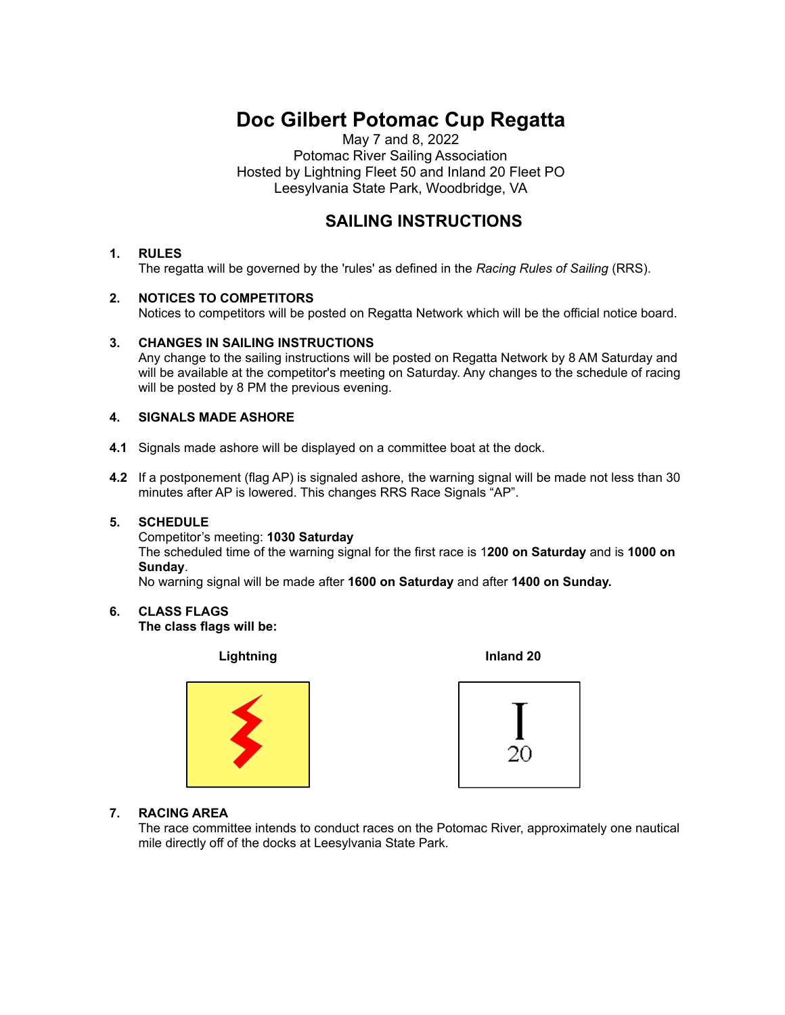# **Doc Gilbert Potomac Cup Regatta**

May 7 and 8, 2022 Potomac River Sailing Association Hosted by Lightning Fleet 50 and Inland 20 Fleet PO Leesylvania State Park, Woodbridge, VA

# **SAILING INSTRUCTIONS**

# **1. RULES**

The regatta will be governed by the 'rules' as defined in the *Racing Rules of Sailing* (RRS).

### **2. NOTICES TO COMPETITORS**

Notices to competitors will be posted on Regatta Network which will be the official notice board.

#### **3. CHANGES IN SAILING INSTRUCTIONS**

Any change to the sailing instructions will be posted on Regatta Network by 8 AM Saturday and will be available at the competitor's meeting on Saturday. Any changes to the schedule of racing will be posted by 8 PM the previous evening.

#### **4. SIGNALS MADE ASHORE**

- **4.1** Signals made ashore will be displayed on a committee boat at the dock.
- **4.2** If a postponement (flag AP) is signaled ashore, the warning signal will be made not less than 30 minutes after AP is lowered. This changes RRS Race Signals "AP".

#### **5. SCHEDULE**

Competitor's meeting: **1030 Saturday**

The scheduled time of the warning signal for the first race is 1**200 on Saturday** and is **1000 on Sunday**.

No warning signal will be made after **1600 on Saturday** and after **1400 on Sunday.**

**6. CLASS FLAGS**

**The class flags will be:**

**Lightning Inland 20**





### **7. RACING AREA**

The race committee intends to conduct races on the Potomac River, approximately one nautical mile directly off of the docks at Leesylvania State Park.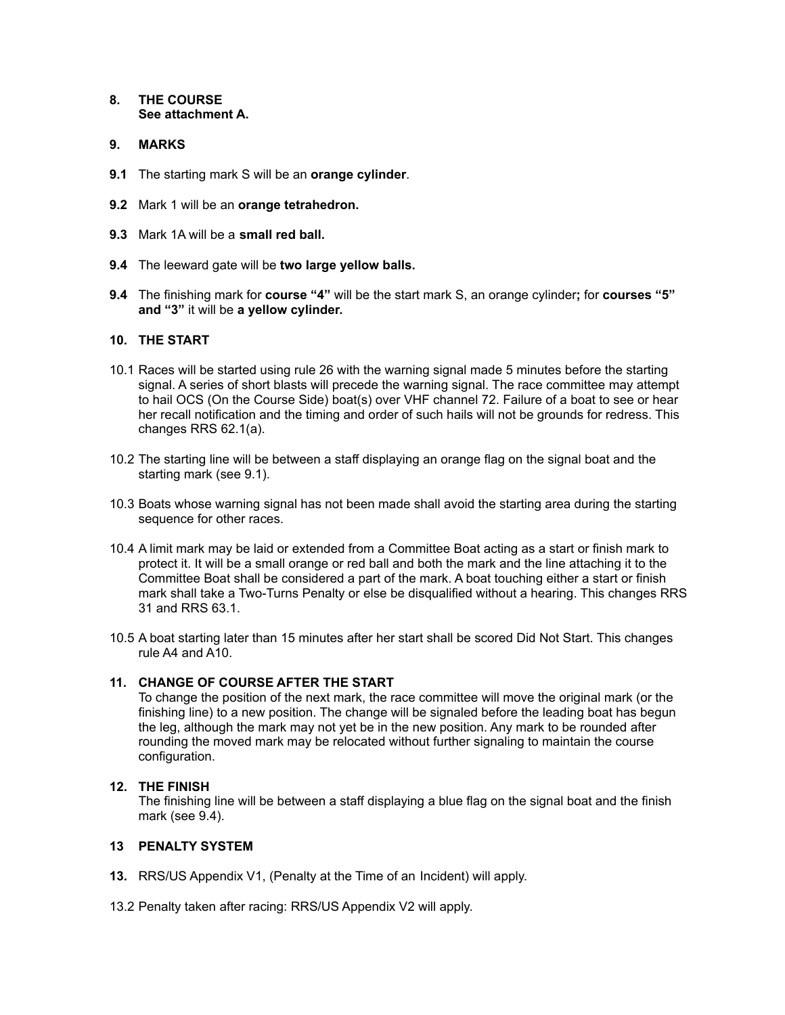#### **8. THE COURSE See attachment A.**

#### **9. MARKS**

- **9.1** The starting mark S will be an **orange cylinder**.
- **9.2** Mark 1 will be an **orange tetrahedron.**
- **9.3** Mark 1A will be a **small red ball.**
- **9.4** The leeward gate will be **two large yellow balls.**
- **9.4** The finishing mark for **course "4"** will be the start mark S, an orange cylinder**;** for **courses "5" and "3"** it will be **a yellow cylinder.**

#### **10. THE START**

- 10.1 Races will be started using rule 26 with the warning signal made 5 minutes before the starting signal. A series of short blasts will precede the warning signal. The race committee may attempt to hail OCS (On the Course Side) boat(s) over VHF channel 72. Failure of a boat to see or hear her recall notification and the timing and order of such hails will not be grounds for redress. This changes RRS 62.1(a).
- 10.2 The starting line will be between a staff displaying an orange flag on the signal boat and the starting mark (see 9.1).
- 10.3 Boats whose warning signal has not been made shall avoid the starting area during the starting sequence for other races.
- 10.4 A limit mark may be laid or extended from a Committee Boat acting as a start or finish mark to protect it. It will be a small orange or red ball and both the mark and the line attaching it to the Committee Boat shall be considered a part of the mark. A boat touching either a start or finish mark shall take a Two-Turns Penalty or else be disqualified without a hearing. This changes RRS 31 and RRS 63.1.
- 10.5 A boat starting later than 15 minutes after her start shall be scored Did Not Start. This changes rule A4 and A10.

#### **11. CHANGE OF COURSE AFTER THE START**

To change the position of the next mark, the race committee will move the original mark (or the finishing line) to a new position. The change will be signaled before the leading boat has begun the leg, although the mark may not yet be in the new position. Any mark to be rounded after rounding the moved mark may be relocated without further signaling to maintain the course configuration.

#### **12. THE FINISH**

The finishing line will be between a staff displaying a blue flag on the signal boat and the finish mark (see 9.4).

# **13 PENALTY SYSTEM**

- **13.** RRS/US Appendix V1, (Penalty at the Time of an Incident) will apply.
- 13.2 Penalty taken after racing: RRS/US Appendix V2 will apply.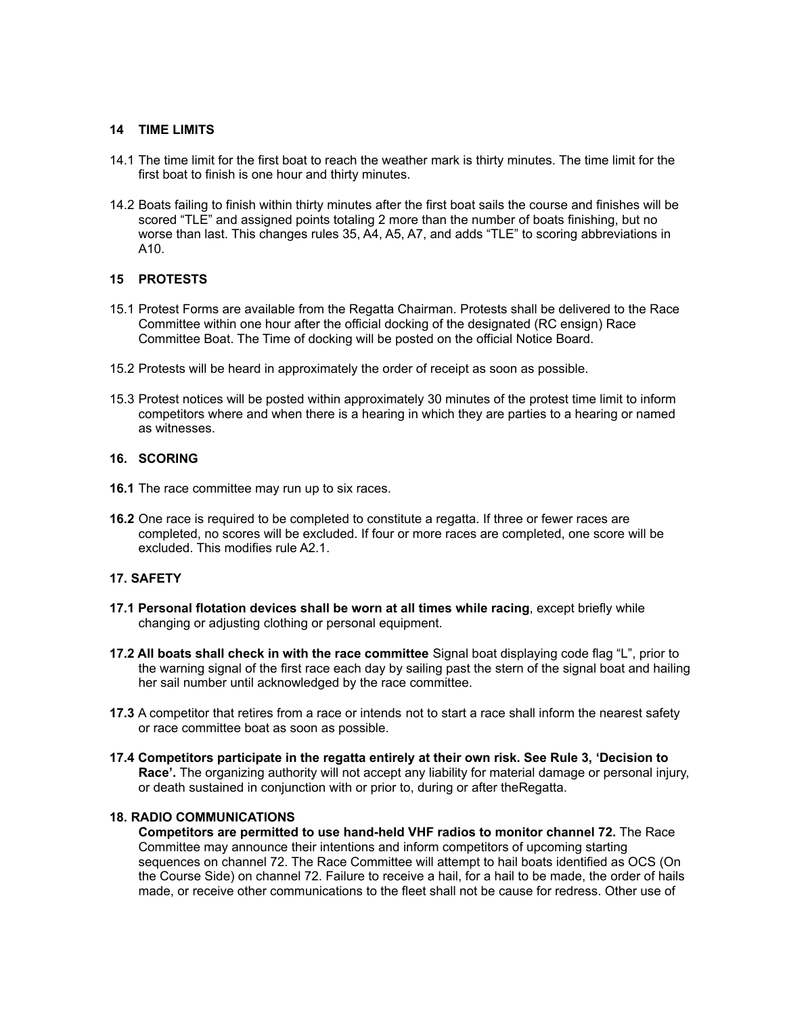#### **14 TIME LIMITS**

- 14.1 The time limit for the first boat to reach the weather mark is thirty minutes. The time limit for the first boat to finish is one hour and thirty minutes.
- 14.2 Boats failing to finish within thirty minutes after the first boat sails the course and finishes will be scored "TLE" and assigned points totaling 2 more than the number of boats finishing, but no worse than last. This changes rules 35, A4, A5, A7, and adds "TLE" to scoring abbreviations in A10.

#### **15 PROTESTS**

- 15.1 Protest Forms are available from the Regatta Chairman. Protests shall be delivered to the Race Committee within one hour after the official docking of the designated (RC ensign) Race Committee Boat. The Time of docking will be posted on the official Notice Board.
- 15.2 Protests will be heard in approximately the order of receipt as soon as possible.
- 15.3 Protest notices will be posted within approximately 30 minutes of the protest time limit to inform competitors where and when there is a hearing in which they are parties to a hearing or named as witnesses.

#### **16. SCORING**

- **16.1** The race committee may run up to six races.
- **16.2** One race is required to be completed to constitute a regatta. If three or fewer races are completed, no scores will be excluded. If four or more races are completed, one score will be excluded. This modifies rule A2.1.

#### **17. SAFETY**

- **17.1 Personal flotation devices shall be worn at all times while racing**, except briefly while changing or adjusting clothing or personal equipment.
- **17.2 All boats shall check in with the race committee** Signal boat displaying code flag "L", prior to the warning signal of the first race each day by sailing past the stern of the signal boat and hailing her sail number until acknowledged by the race committee.
- **17.3** A competitor that retires from a race or intends not to start a race shall inform the nearest safety or race committee boat as soon as possible.
- **17.4 Competitors participate in the regatta entirely at their own risk. See Rule 3, 'Decision to Race'.** The organizing authority will not accept any liability for material damage or personal injury, or death sustained in conjunction with or prior to, during or after theRegatta.

#### **18. RADIO COMMUNICATIONS**

**Competitors are permitted to use hand-held VHF radios to monitor channel 72.** The Race Committee may announce their intentions and inform competitors of upcoming starting sequences on channel 72. The Race Committee will attempt to hail boats identified as OCS (On the Course Side) on channel 72. Failure to receive a hail, for a hail to be made, the order of hails made, or receive other communications to the fleet shall not be cause for redress. Other use of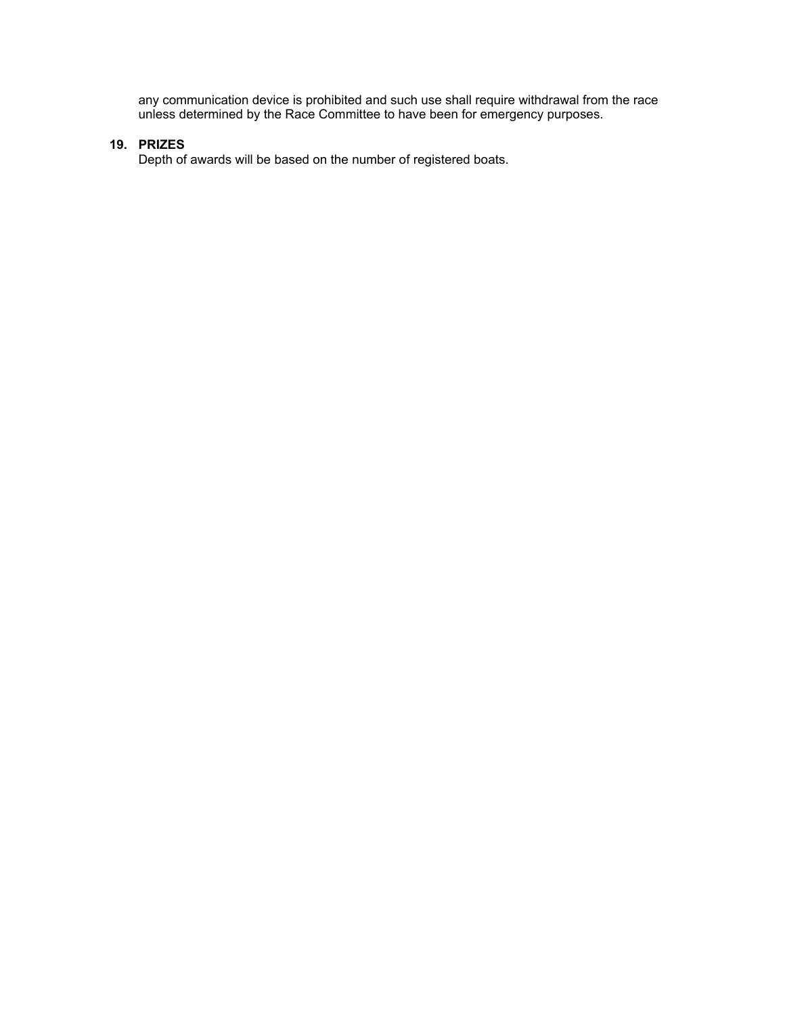any communication device is prohibited and such use shall require withdrawal from the race unless determined by the Race Committee to have been for emergency purposes.

# **19. PRIZES**

Depth of awards will be based on the number of registered boats.